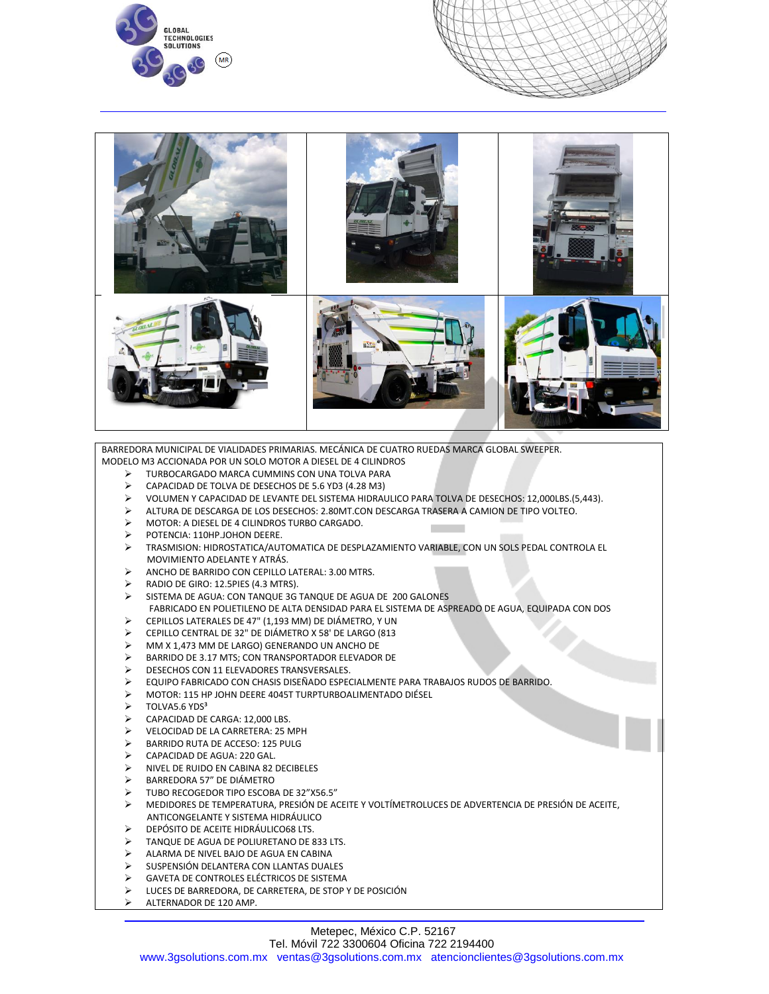





BARREDORA MUNICIPAL DE VIALIDADES PRIMARIAS. MECÁNICA DE CUATRO RUEDAS MARCA GLOBAL SWEEPER. MODELO M3 ACCIONADA POR UN SOLO MOTOR A DIESEL DE 4 CILINDROS

- TURBOCARGADO MARCA CUMMINS CON UNA TOLVA PARA
- CAPACIDAD DE TOLVA DE DESECHOS DE 5.6 YD3 (4.28 M3)
- VOLUMEN Y CAPACIDAD DE LEVANTE DEL SISTEMA HIDRAULICO PARA TOLVA DE DESECHOS: 12,000LBS.(5,443).
- ALTURA DE DESCARGA DE LOS DESECHOS: 2.80MT.CON DESCARGA TRASERA A CAMION DE TIPO VOLTEO.
- MOTOR: A DIESEL DE 4 CILINDROS TURBO CARGADO.
- POTENCIA: 110HP.JOHON DEERE.
- TRASMISION: HIDROSTATICA/AUTOMATICA DE DESPLAZAMIENTO VARIABLE, CON UN SOLS PEDAL CONTROLA EL MOVIMIENTO ADELANTE Y ATRÁS.
- ANCHO DE BARRIDO CON CEPILLO LATERAL: 3.00 MTRS.
- RADIO DE GIRO: 12.5PIES (4.3 MTRS).
- SISTEMA DE AGUA: CON TANQUE 3G TANQUE DE AGUA DE 200 GALONES FABRICADO EN POLIETILENO DE ALTA DENSIDAD PARA EL SISTEMA DE ASPREADO DE AGUA, EQUIPADA CON DOS
- CEPILLOS LATERALES DE 47" (1,193 MM) DE DIÁMETRO, Y UN
- CEPILLO CENTRAL DE 32" DE DIÁMETRO X 58' DE LARGO (813
- MM X 1,473 MM DE LARGO) GENERANDO UN ANCHO DE
- BARRIDO DE 3.17 MTS; CON TRANSPORTADOR ELEVADOR DE
- DESECHOS CON 11 ELEVADORES TRANSVERSALES.
- EQUIPO FABRICADO CON CHASIS DISEÑADO ESPECIALMENTE PARA TRABAJOS RUDOS DE BARRIDO.
- MOTOR: 115 HP JOHN DEERE 4045T TURPTURBOALIMENTADO DIÉSEL
- $\triangleright$  TOLVA5.6 YDS<sup>3</sup>
- CAPACIDAD DE CARGA: 12,000 LBS.
- VELOCIDAD DE LA CARRETERA: 25 MPH
- BARRIDO RUTA DE ACCESO: 125 PULG
- CAPACIDAD DE AGUA: 220 GAL.
- NIVEL DE RUIDO EN CABINA 82 DECIBELES
- BARREDORA 57" DE DIÁMETRO
- TUBO RECOGEDOR TIPO ESCOBA DE 32"X56.5"
- MEDIDORES DE TEMPERATURA, PRESIÓN DE ACEITE Y VOLTÍMETROLUCES DE ADVERTENCIA DE PRESIÓN DE ACEITE, ANTICONGELANTE Y SISTEMA HIDRÁULICO
- DEPÓSITO DE ACEITE HIDRÁULICO68 LTS.
- TANQUE DE AGUA DE POLIURETANO DE 833 LTS.
- ALARMA DE NIVEL BAJO DE AGUA EN CABINA
- SUSPENSIÓN DELANTERA CON LLANTAS DUALES
- GAVETA DE CONTROLES ELÉCTRICOS DE SISTEMA
- LUCES DE BARREDORA, DE CARRETERA, DE STOP Y DE POSICIÓN
- ALTERNADOR DE 120 AMP.